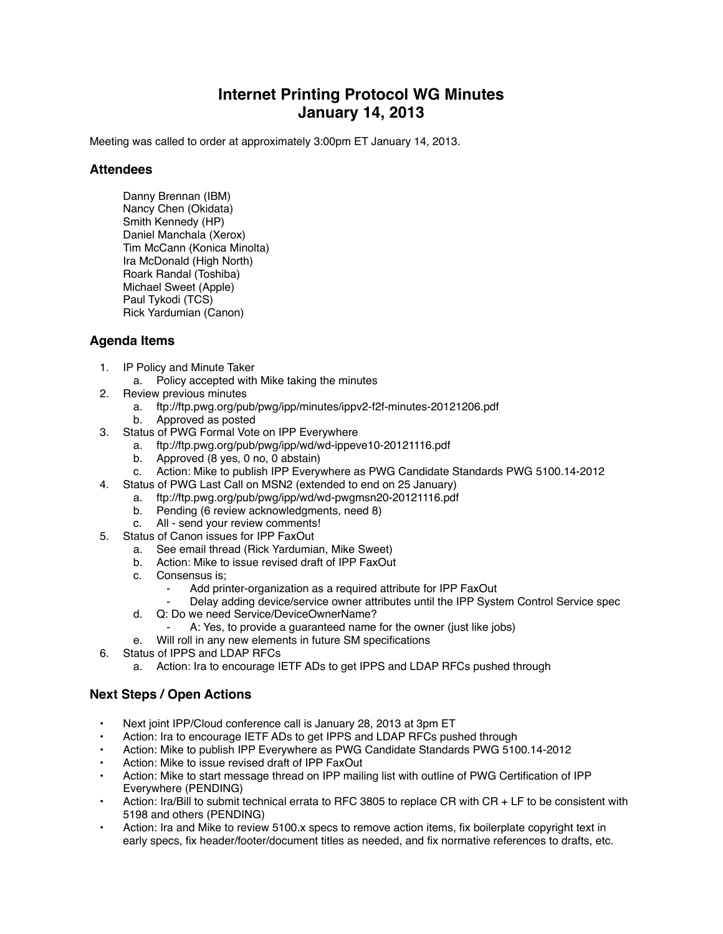## **Internet Printing Protocol WG Minutes January 14, 2013**

Meeting was called to order at approximately 3:00pm ET January 14, 2013.

## **Attendees**

Danny Brennan (IBM) Nancy Chen (Okidata) Smith Kennedy (HP) Daniel Manchala (Xerox) Tim McCann (Konica Minolta) Ira McDonald (High North) Roark Randal (Toshiba) Michael Sweet (Apple) Paul Tykodi (TCS) Rick Yardumian (Canon)

## **Agenda Items**

- 1. IP Policy and Minute Taker
	- a. Policy accepted with Mike taking the minutes
- 2. Review previous minutes
	- a. ftp://ftp.pwg.org/pub/pwg/ipp/minutes/ippv2-f2f-minutes-20121206.pdf
	- b. Approved as posted
- 3. Status of PWG Formal Vote on IPP Everywhere
	- a. ftp://ftp.pwg.org/pub/pwg/ipp/wd/wd-ippeve10-20121116.pdf
	- b. Approved (8 yes, 0 no, 0 abstain)
	- c. Action: Mike to publish IPP Everywhere as PWG Candidate Standards PWG 5100.14-2012
- 4. Status of PWG Last Call on MSN2 (extended to end on 25 January)
	- a. ftp://ftp.pwg.org/pub/pwg/ipp/wd/wd-pwgmsn20-20121116.pdf
		- b. Pending (6 review acknowledgments, need 8)
		- c. All send your review comments!
- 5. Status of Canon issues for IPP FaxOut
	- a. See email thread (Rick Yardumian, Mike Sweet)
	- b. Action: Mike to issue revised draft of IPP FaxOut
	- c. Consensus is;
		- Add printer-organization as a required attribute for IPP FaxOut
		- Delay adding device/service owner attributes until the IPP System Control Service spec
	- d. Q: Do we need Service/DeviceOwnerName?
		- A: Yes, to provide a guaranteed name for the owner (just like jobs)
	- e. Will roll in any new elements in future SM specifications
- 6. Status of IPPS and LDAP RFCs
	- a. Action: Ira to encourage IETF ADs to get IPPS and LDAP RFCs pushed through

## **Next Steps / Open Actions**

- Next joint IPP/Cloud conference call is January 28, 2013 at 3pm ET
- Action: Ira to encourage IETF ADs to get IPPS and LDAP RFCs pushed through
- Action: Mike to publish IPP Everywhere as PWG Candidate Standards PWG 5100.14-2012
- Action: Mike to issue revised draft of IPP FaxOut
- Action: Mike to start message thread on IPP mailing list with outline of PWG Certification of IPP Everywhere (PENDING)
- Action: Ira/Bill to submit technical errata to RFC 3805 to replace CR with CR + LF to be consistent with 5198 and others (PENDING)
- Action: Ira and Mike to review 5100.x specs to remove action items, fix boilerplate copyright text in early specs, fix header/footer/document titles as needed, and fix normative references to drafts, etc.